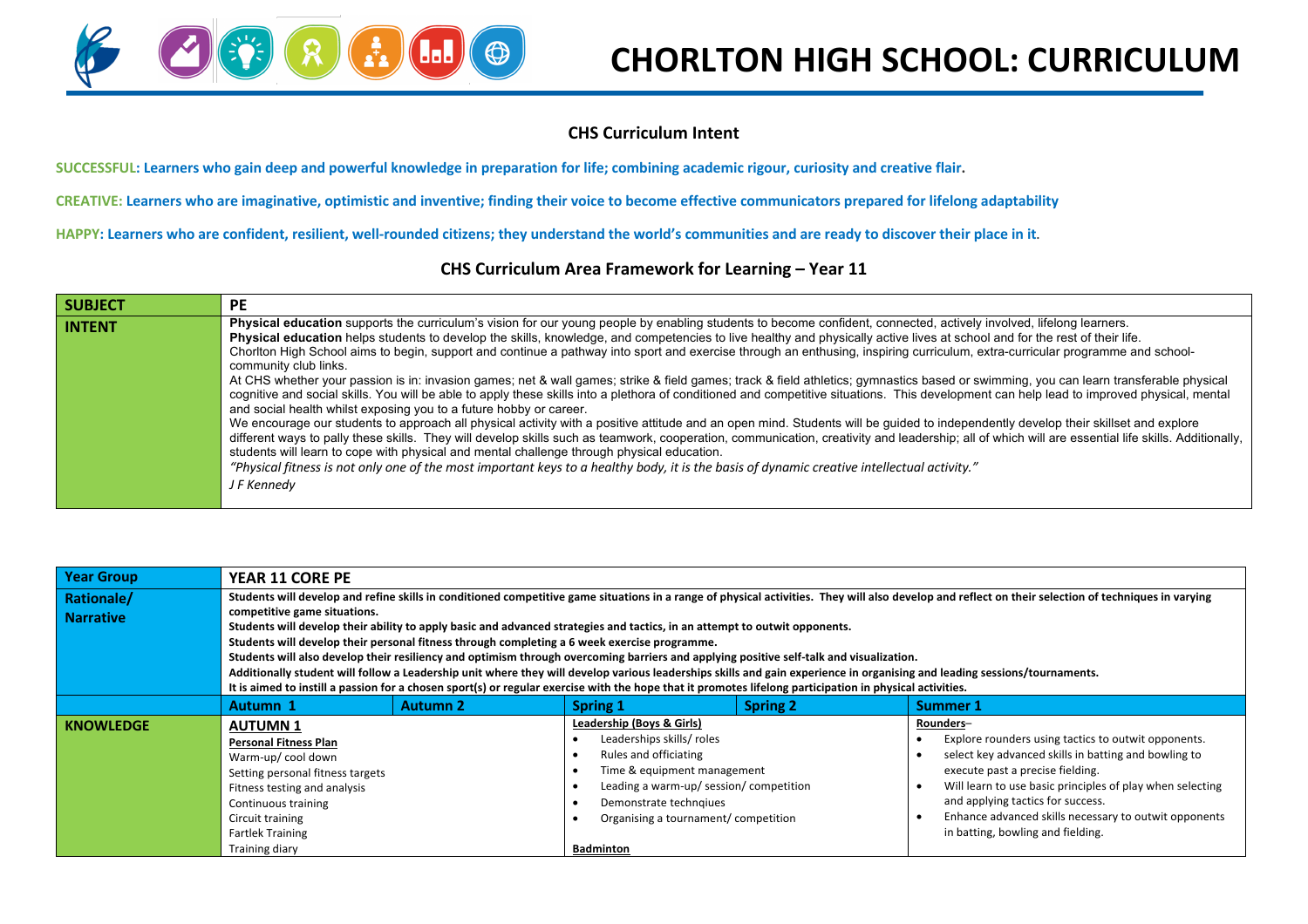

## **CHORLTON HIGH SCHOOL: CURRICULUM**

#### **CHS Curriculum Intent**

**SUCCESSFUL: Learners who gain deep and powerful knowledge in preparation for life; combining academic rigour, curiosity and creative flair.**

**CREATIVE: Learners who are imaginative, optimistic and inventive; finding their voice to become effective communicators prepared for lifelong adaptability**

**HAPPY: Learners who are confident, resilient, well-rounded citizens; they understand the world's communities and are ready to discover their place in it.**

### **CHS Curriculum Area Framework for Learning – Year 11**

| <b>SUBJECT</b> | <b>PE</b>                                                                                                                                                                                                                                                                                                                                                                                                                                                                                                                                                                                                                                                                                                                                                                                                                                                                                                                                                                                                                                                                                                                                                                                                                                                                                                                                                                                                                                                                                                                                                                                                                                                                        |
|----------------|----------------------------------------------------------------------------------------------------------------------------------------------------------------------------------------------------------------------------------------------------------------------------------------------------------------------------------------------------------------------------------------------------------------------------------------------------------------------------------------------------------------------------------------------------------------------------------------------------------------------------------------------------------------------------------------------------------------------------------------------------------------------------------------------------------------------------------------------------------------------------------------------------------------------------------------------------------------------------------------------------------------------------------------------------------------------------------------------------------------------------------------------------------------------------------------------------------------------------------------------------------------------------------------------------------------------------------------------------------------------------------------------------------------------------------------------------------------------------------------------------------------------------------------------------------------------------------------------------------------------------------------------------------------------------------|
| <b>INTENT</b>  | Physical education supports the curriculum's vision for our young people by enabling students to become confident, connected, actively involved, lifelong learners.<br>Physical education helps students to develop the skills, knowledge, and competencies to live healthy and physically active lives at school and for the rest of their life.<br>Chorlton High School aims to begin, support and continue a pathway into sport and exercise through an enthusing, inspiring curriculum, extra-curricular programme and school-<br>community club links.<br>At CHS whether your passion is in: invasion games; net & wall games; strike & field games; track & field athletics; gymnastics based or swimming, you can learn transferable physical<br>cognitive and social skills. You will be able to apply these skills into a plethora of conditioned and competitive situations. This development can help lead to improved physical, mental<br>and social health whilst exposing you to a future hobby or career.<br>We encourage our students to approach all physical activity with a positive attitude and an open mind. Students will be guided to independently develop their skillset and explore<br>different ways to pally these skills. They will develop skills such as teamwork, cooperation, communication, creativity and leadership; all of which will are essential life skills. Additionally,<br>students will learn to cope with physical and mental challenge through physical education.<br>"Physical fitness is not only one of the most important keys to a healthy body, it is the basis of dynamic creative intellectual activity."<br>J F Kennedy |

| <b>Year Group</b>              | <b>YEAR 11 CORE PE</b>                                                                                                                                                                                                                                                                                                                                                                                                                                                                                                                                                                                                                                                                                                                                                                                                                                                                                                                                 |                 |                                                                                                                                                                                                                                                |                 |                                                                                                                                                                                                                                                                                                                                                              |  |  |
|--------------------------------|--------------------------------------------------------------------------------------------------------------------------------------------------------------------------------------------------------------------------------------------------------------------------------------------------------------------------------------------------------------------------------------------------------------------------------------------------------------------------------------------------------------------------------------------------------------------------------------------------------------------------------------------------------------------------------------------------------------------------------------------------------------------------------------------------------------------------------------------------------------------------------------------------------------------------------------------------------|-----------------|------------------------------------------------------------------------------------------------------------------------------------------------------------------------------------------------------------------------------------------------|-----------------|--------------------------------------------------------------------------------------------------------------------------------------------------------------------------------------------------------------------------------------------------------------------------------------------------------------------------------------------------------------|--|--|
| Rationale/<br><b>Narrative</b> | Students will develop and refine skills in conditioned competitive game situations in a range of physical activities. They will also develop and reflect on their selection of techniques in varying<br>competitive game situations.<br>Students will develop their ability to apply basic and advanced strategies and tactics, in an attempt to outwit opponents.<br>Students will develop their personal fitness through completing a 6 week exercise programme.<br>Students will also develop their resiliency and optimism through overcoming barriers and applying positive self-talk and visualization.<br>Additionally student will follow a Leadership unit where they will develop various leaderships skills and gain experience in organising and leading sessions/tournaments.<br>It is aimed to instill a passion for a chosen sport(s) or regular exercise with the hope that it promotes lifelong participation in physical activities. |                 |                                                                                                                                                                                                                                                |                 |                                                                                                                                                                                                                                                                                                                                                              |  |  |
|                                | Autumn 1                                                                                                                                                                                                                                                                                                                                                                                                                                                                                                                                                                                                                                                                                                                                                                                                                                                                                                                                               | <b>Autumn 2</b> | <b>Spring 1</b>                                                                                                                                                                                                                                | <b>Spring 2</b> | <b>Summer 1</b>                                                                                                                                                                                                                                                                                                                                              |  |  |
| <b>KNOWLEDGE</b>               | <b>AUTUMN1</b><br><b>Personal Fitness Plan</b><br>Warm-up/cool down<br>Setting personal fitness targets<br>Fitness testing and analysis<br>Continuous training<br>Circuit training<br><b>Fartlek Training</b><br>Training diary                                                                                                                                                                                                                                                                                                                                                                                                                                                                                                                                                                                                                                                                                                                        |                 | Leadership (Boys & Girls)<br>Leaderships skills/ roles<br>Rules and officiating<br>Time & equipment management<br>Leading a warm-up/ session/ competition<br>Demonstrate techngiues<br>Organising a tournament/competition<br><b>Badminton</b> |                 | Rounders-<br>Explore rounders using tactics to outwit opponents.<br>select key advanced skills in batting and bowling to<br>execute past a precise fielding.<br>Will learn to use basic principles of play when selecting<br>and applying tactics for success.<br>Enhance advanced skills necessary to outwit opponents<br>in batting, bowling and fielding. |  |  |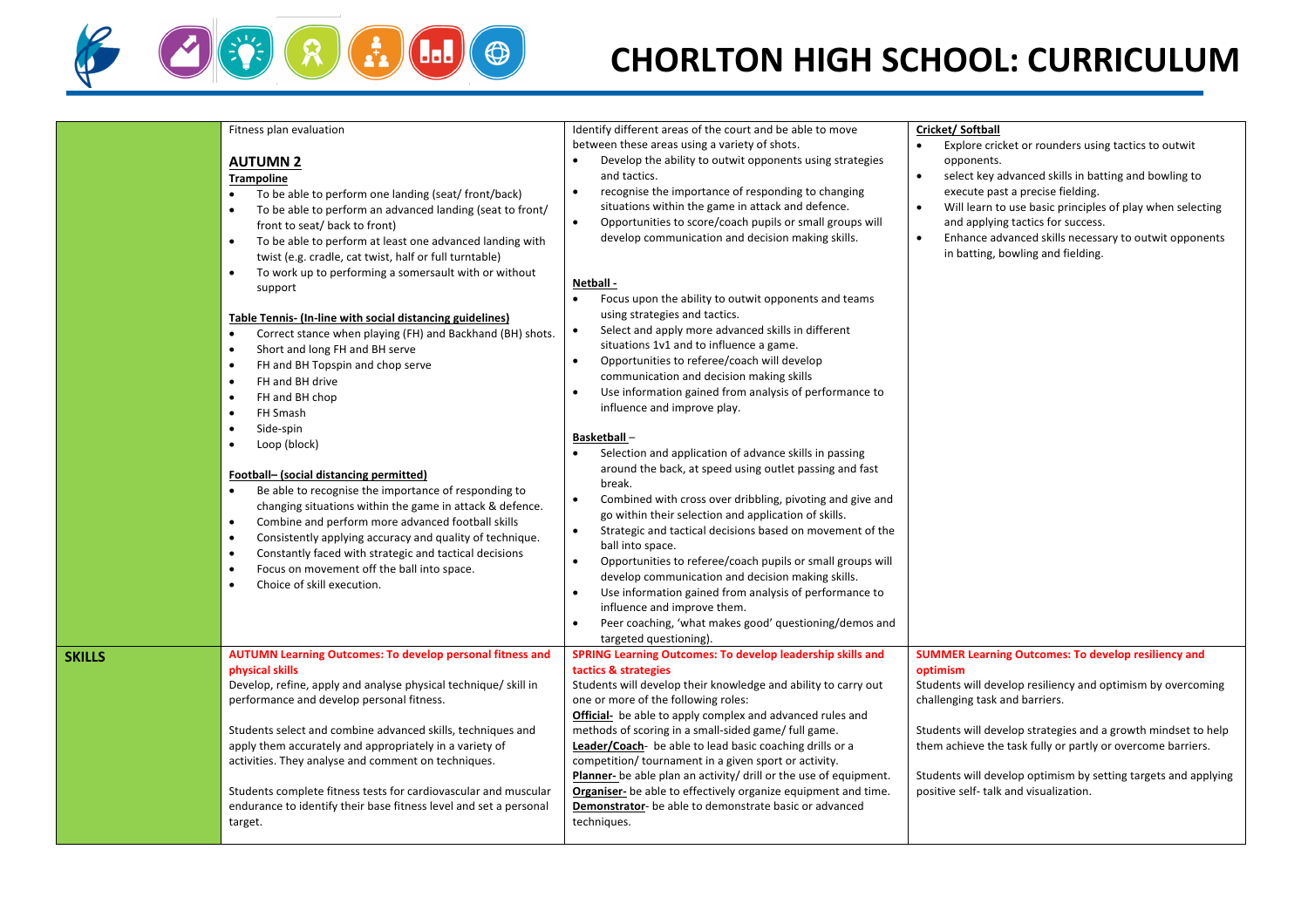

## **CHORLTON HIGH SCHOOL: CURRICULUM**

|        | Fitness plan evaluation<br><b>AUTUMN 2</b><br><b>Trampoline</b><br>To be able to perform one landing (seat/front/back)<br>$\bullet$<br>To be able to perform an advanced landing (seat to front/<br>front to seat/ back to front)<br>To be able to perform at least one advanced landing with<br>$\bullet$<br>twist (e.g. cradle, cat twist, half or full turntable)<br>To work up to performing a somersault with or without<br>support<br><b>Table Tennis- (In-line with social distancing guidelines)</b><br>Correct stance when playing (FH) and Backhand (BH) shots.<br>$\bullet$<br>Short and long FH and BH serve<br>$\bullet$<br>FH and BH Topspin and chop serve<br>$\bullet$<br>FH and BH drive<br>$\bullet$<br>FH and BH chop<br>FH Smash<br>$\bullet$<br>Side-spin<br>$\bullet$<br>Loop (block)<br>$\bullet$<br>Football- (social distancing permitted)<br>Be able to recognise the importance of responding to<br>changing situations within the game in attack & defence.<br>Combine and perform more advanced football skills<br>$\bullet$<br>$\bullet$<br>Consistently applying accuracy and quality of technique.<br>Constantly faced with strategic and tactical decisions<br>$\bullet$<br>Focus on movement off the ball into space.<br>$\bullet$<br>Choice of skill execution.<br>$\bullet$ | Identify different areas of the court and be able to move<br>between these areas using a variety of shots.<br>Develop the ability to outwit opponents using strategies<br>$\bullet$<br>and tactics.<br>recognise the importance of responding to changing<br>$\bullet$<br>situations within the game in attack and defence.<br>Opportunities to score/coach pupils or small groups will<br>$\bullet$<br>develop communication and decision making skills.<br>Netball -<br>Focus upon the ability to outwit opponents and teams<br>$\bullet$<br>using strategies and tactics.<br>Select and apply more advanced skills in different<br>$\bullet$<br>situations 1v1 and to influence a game.<br>Opportunities to referee/coach will develop<br>$\bullet$<br>communication and decision making skills<br>Use information gained from analysis of performance to<br>influence and improve play.<br><b>Basketball-</b><br>Selection and application of advance skills in passing<br>around the back, at speed using outlet passing and fast<br>break.<br>$\bullet$<br>Combined with cross over dribbling, pivoting and give and<br>go within their selection and application of skills.<br>Strategic and tactical decisions based on movement of the<br>$\bullet$<br>ball into space.<br>Opportunities to referee/coach pupils or small groups will<br>$\bullet$<br>develop communication and decision making skills.<br>Use information gained from analysis of performance to<br>influence and improve them.<br>Peer coaching, 'what makes good' questioning/demos and<br>$\bullet$<br>targeted questioning). | Cricket/Softball<br>Explore cricket or rounders using tactics to outwit<br>opponents.<br>select key advanced skills in batting and bowling to<br>execute past a precise fielding.<br>Will learn to use basic principles of play when selecting<br>$\bullet$<br>and applying tactics for success.<br>$\bullet$<br>Enhance advanced skills necessary to outwit opponents<br>in batting, bowling and fielding.         |
|--------|-----------------------------------------------------------------------------------------------------------------------------------------------------------------------------------------------------------------------------------------------------------------------------------------------------------------------------------------------------------------------------------------------------------------------------------------------------------------------------------------------------------------------------------------------------------------------------------------------------------------------------------------------------------------------------------------------------------------------------------------------------------------------------------------------------------------------------------------------------------------------------------------------------------------------------------------------------------------------------------------------------------------------------------------------------------------------------------------------------------------------------------------------------------------------------------------------------------------------------------------------------------------------------------------------------------------|------------------------------------------------------------------------------------------------------------------------------------------------------------------------------------------------------------------------------------------------------------------------------------------------------------------------------------------------------------------------------------------------------------------------------------------------------------------------------------------------------------------------------------------------------------------------------------------------------------------------------------------------------------------------------------------------------------------------------------------------------------------------------------------------------------------------------------------------------------------------------------------------------------------------------------------------------------------------------------------------------------------------------------------------------------------------------------------------------------------------------------------------------------------------------------------------------------------------------------------------------------------------------------------------------------------------------------------------------------------------------------------------------------------------------------------------------------------------------------------------------------------------------------------------------------------------------------------------------------|---------------------------------------------------------------------------------------------------------------------------------------------------------------------------------------------------------------------------------------------------------------------------------------------------------------------------------------------------------------------------------------------------------------------|
| SKILLS | <b>AUTUMN Learning Outcomes: To develop personal fitness and</b><br>physical skills<br>Develop, refine, apply and analyse physical technique/ skill in<br>performance and develop personal fitness.<br>Students select and combine advanced skills, techniques and<br>apply them accurately and appropriately in a variety of<br>activities. They analyse and comment on techniques.<br>Students complete fitness tests for cardiovascular and muscular<br>endurance to identify their base fitness level and set a personal<br>target.                                                                                                                                                                                                                                                                                                                                                                                                                                                                                                                                                                                                                                                                                                                                                                         | <b>SPRING Learning Outcomes: To develop leadership skills and</b><br>tactics & strategies<br>Students will develop their knowledge and ability to carry out<br>one or more of the following roles:<br><b>Official-</b> be able to apply complex and advanced rules and<br>methods of scoring in a small-sided game/ full game.<br>Leader/Coach- be able to lead basic coaching drills or a<br>competition/tournament in a given sport or activity.<br>Planner- be able plan an activity/ drill or the use of equipment.<br>Organiser- be able to effectively organize equipment and time.<br><b>Demonstrator-</b> be able to demonstrate basic or advanced<br>techniques.                                                                                                                                                                                                                                                                                                                                                                                                                                                                                                                                                                                                                                                                                                                                                                                                                                                                                                                                  | <b>SUMMER Learning Outcomes: To develop resiliency and</b><br>optimism<br>Students will develop resiliency and optimism by overcoming<br>challenging task and barriers.<br>Students will develop strategies and a growth mindset to help<br>them achieve the task fully or partly or overcome barriers.<br>Students will develop optimism by setting targets and applying<br>positive self- talk and visualization. |